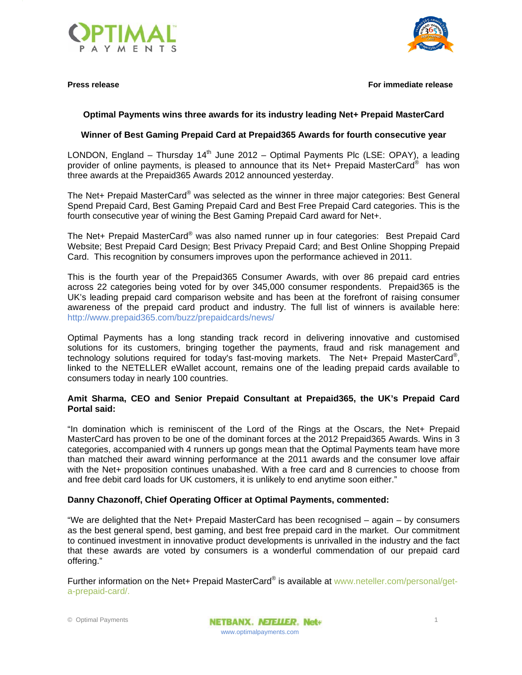



**Press release For immediate release**

# **Optimal Payments wins three awards for its industry leading Net+ Prepaid MasterCard**

## **Winner of Best Gaming Prepaid Card at Prepaid365 Awards for fourth consecutive year**

LONDON, England – Thursday 14<sup>th</sup> June 2012 – Optimal Payments Plc (LSE: OPAY), a leading provider of online payments, is pleased to announce that its Net+ Prepaid MasterCard® has won three awards at the Prepaid365 Awards 2012 announced yesterday.

The Net+ Prepaid MasterCard<sup>®</sup> was selected as the winner in three major categories: Best General Spend Prepaid Card, Best Gaming Prepaid Card and Best Free Prepaid Card categories. This is the fourth consecutive year of wining the Best Gaming Prepaid Card award for Net+.

The Net+ Prepaid MasterCard® was also named runner up in four categories: Best Prepaid Card Website; Best Prepaid Card Design; Best Privacy Prepaid Card; and Best Online Shopping Prepaid Card. This recognition by consumers improves upon the performance achieved in 2011.

This is the fourth year of the Prepaid365 Consumer Awards, with over 86 prepaid card entries across 22 categories being voted for by over 345,000 consumer respondents. Prepaid365 is the UK's leading prepaid card comparison website and has been at the forefront of raising consumer awareness of the prepaid card product and industry. The full list of winners is available here: http://www.prepaid365.com/buzz/prepaidcards/news/

Optimal Payments has a long standing track record in delivering innovative and customised solutions for its customers, bringing together the payments, fraud and risk management and technology solutions required for today's fast-moving markets. The Net+ Prepaid MasterCard®, linked to the NETELLER eWallet account, remains one of the leading prepaid cards available to consumers today in nearly 100 countries.

## **Amit Sharma, CEO and Senior Prepaid Consultant at Prepaid365, the UK's Prepaid Card Portal said:**

"In domination which is reminiscent of the Lord of the Rings at the Oscars, the Net+ Prepaid MasterCard has proven to be one of the dominant forces at the 2012 Prepaid365 Awards. Wins in 3 categories, accompanied with 4 runners up gongs mean that the Optimal Payments team have more than matched their award winning performance at the 2011 awards and the consumer love affair with the Net+ proposition continues unabashed. With a free card and 8 currencies to choose from and free debit card loads for UK customers, it is unlikely to end anytime soon either."

## **Danny Chazonoff, Chief Operating Officer at Optimal Payments, commented:**

"We are delighted that the Net+ Prepaid MasterCard has been recognised – again – by consumers as the best general spend, best gaming, and best free prepaid card in the market. Our commitment to continued investment in innovative product developments is unrivalled in the industry and the fact that these awards are voted by consumers is a wonderful commendation of our prepaid card offering."

Further information on the Net+ Prepaid MasterCard® is available at www.neteller.com/personal/geta-prepaid-card/.